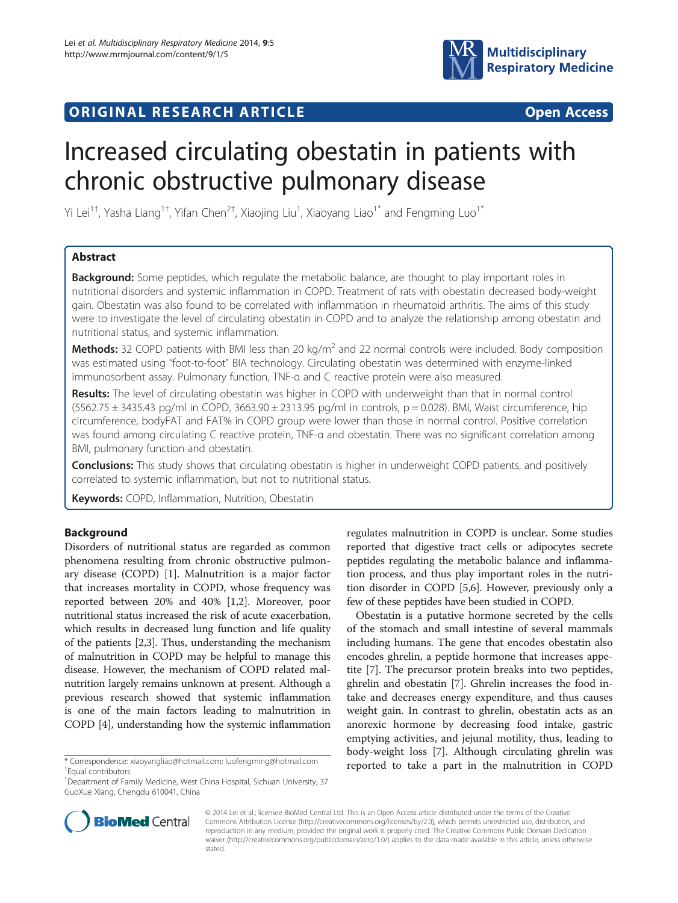



# Increased circulating obestatin in patients with chronic obstructive pulmonary disease

Yi Lei<sup>1†</sup>, Yasha Liang<sup>1†</sup>, Yifan Chen<sup>2†</sup>, Xiaojing Liu<sup>1</sup>, Xiaoyang Liao<sup>1\*</sup> and Fengming Luo<sup>1\*</sup>

# Abstract

**Background:** Some peptides, which regulate the metabolic balance, are thought to play important roles in nutritional disorders and systemic inflammation in COPD. Treatment of rats with obestatin decreased body-weight gain. Obestatin was also found to be correlated with inflammation in rheumatoid arthritis. The aims of this study were to investigate the level of circulating obestatin in COPD and to analyze the relationship among obestatin and nutritional status, and systemic inflammation.

**Methods:** 32 COPD patients with BMI less than 20 kg/m<sup>2</sup> and 22 normal controls were included. Body composition was estimated using "foot-to-foot" BIA technology. Circulating obestatin was determined with enzyme-linked immunosorbent assay. Pulmonary function, TNF-α and C reactive protein were also measured.

Results: The level of circulating obestatin was higher in COPD with underweight than that in normal control  $(5562.75 \pm 3435.43 \text{ pg/ml}$  in COPD,  $3663.90 \pm 2313.95 \text{ pq/ml}$  in controls,  $p = 0.028$ ). BMI, Waist circumference, hip circumference, bodyFAT and FAT% in COPD group were lower than those in normal control. Positive correlation was found among circulating C reactive protein, TNF-α and obestatin. There was no significant correlation among BMI, pulmonary function and obestatin.

**Conclusions:** This study shows that circulating obestatin is higher in underweight COPD patients, and positively correlated to systemic inflammation, but not to nutritional status.

Keywords: COPD, Inflammation, Nutrition, Obestatin

# Background

Disorders of nutritional status are regarded as common phenomena resulting from chronic obstructive pulmonary disease (COPD) [[1](#page-5-0)]. Malnutrition is a major factor that increases mortality in COPD, whose frequency was reported between 20% and 40% [\[1](#page-5-0),[2](#page-5-0)]. Moreover, poor nutritional status increased the risk of acute exacerbation, which results in decreased lung function and life quality of the patients [[2,3](#page-5-0)]. Thus, understanding the mechanism of malnutrition in COPD may be helpful to manage this disease. However, the mechanism of COPD related malnutrition largely remains unknown at present. Although a previous research showed that systemic inflammation is one of the main factors leading to malnutrition in COPD [[4](#page-5-0)], understanding how the systemic inflammation

regulates malnutrition in COPD is unclear. Some studies reported that digestive tract cells or adipocytes secrete peptides regulating the metabolic balance and inflammation process, and thus play important roles in the nutrition disorder in COPD [[5](#page-5-0),[6](#page-5-0)]. However, previously only a few of these peptides have been studied in COPD.

Obestatin is a putative hormone secreted by the cells of the stomach and small intestine of several mammals including humans. The gene that encodes obestatin also encodes ghrelin, a peptide hormone that increases appetite [[7\]](#page-5-0). The precursor protein breaks into two peptides, ghrelin and obestatin [[7](#page-5-0)]. Ghrelin increases the food intake and decreases energy expenditure, and thus causes weight gain. In contrast to ghrelin, obestatin acts as an anorexic hormone by decreasing food intake, gastric emptying activities, and jejunal motility, thus, leading to body-weight loss [\[7](#page-5-0)]. Although circulating ghrelin was \* Correspondence: [xiaoyangliao@hotmail.com;](mailto:xiaoyangliao@hotmail.com) [luofengming@hotmail.com](mailto:luofengming@hotmail.com) \* \* **reported to take a part in the malnutrition in COPD** 



© 2014 Lei et al.; licensee BioMed Central Ltd. This is an Open Access article distributed under the terms of the Creative Commons Attribution License [\(http://creativecommons.org/licenses/by/2.0\)](http://creativecommons.org/licenses/by/2.0), which permits unrestricted use, distribution, and reproduction in any medium, provided the original work is properly cited. The Creative Commons Public Domain Dedication waiver [\(http://creativecommons.org/publicdomain/zero/1.0/\)](http://creativecommons.org/publicdomain/zero/1.0/) applies to the data made available in this article, unless otherwise stated.

<sup>&</sup>lt;sup>+</sup>Faual contributors

<sup>&</sup>lt;sup>1</sup>Department of Family Medicine, West China Hospital, Sichuan University, 37 GuoXue Xiang, Chengdu 610041, China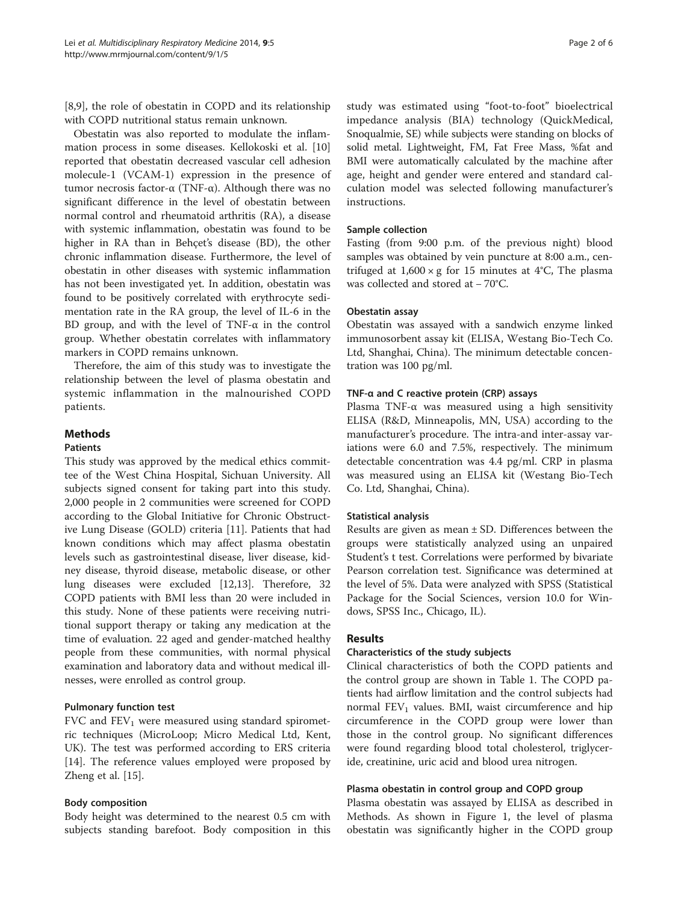[[8,9\]](#page-5-0), the role of obestatin in COPD and its relationship with COPD nutritional status remain unknown.

Obestatin was also reported to modulate the inflammation process in some diseases. Kellokoski et al. [[10](#page-5-0)] reported that obestatin decreased vascular cell adhesion molecule-1 (VCAM-1) expression in the presence of tumor necrosis factor-α (TNF-α). Although there was no significant difference in the level of obestatin between normal control and rheumatoid arthritis (RA), a disease with systemic inflammation, obestatin was found to be higher in RA than in Behçet's disease (BD), the other chronic inflammation disease. Furthermore, the level of obestatin in other diseases with systemic inflammation has not been investigated yet. In addition, obestatin was found to be positively correlated with erythrocyte sedimentation rate in the RA group, the level of IL-6 in the BD group, and with the level of TNF- $\alpha$  in the control group. Whether obestatin correlates with inflammatory markers in COPD remains unknown.

Therefore, the aim of this study was to investigate the relationship between the level of plasma obestatin and systemic inflammation in the malnourished COPD patients.

# Methods

#### Patients

This study was approved by the medical ethics committee of the West China Hospital, Sichuan University. All subjects signed consent for taking part into this study. 2,000 people in 2 communities were screened for COPD according to the Global Initiative for Chronic Obstructive Lung Disease (GOLD) criteria [\[11\]](#page-5-0). Patients that had known conditions which may affect plasma obestatin levels such as gastrointestinal disease, liver disease, kidney disease, thyroid disease, metabolic disease, or other lung diseases were excluded [\[12,13\]](#page-5-0). Therefore, 32 COPD patients with BMI less than 20 were included in this study. None of these patients were receiving nutritional support therapy or taking any medication at the time of evaluation. 22 aged and gender-matched healthy people from these communities, with normal physical examination and laboratory data and without medical illnesses, were enrolled as control group.

# Pulmonary function test

FVC and  $FEV<sub>1</sub>$  were measured using standard spirometric techniques (MicroLoop; Micro Medical Ltd, Kent, UK). The test was performed according to ERS criteria [[14\]](#page-5-0). The reference values employed were proposed by Zheng et al. [\[15](#page-5-0)].

# Body composition

Body height was determined to the nearest 0.5 cm with subjects standing barefoot. Body composition in this

study was estimated using "foot-to-foot" bioelectrical impedance analysis (BIA) technology (QuickMedical, Snoqualmie, SE) while subjects were standing on blocks of solid metal. Lightweight, FM, Fat Free Mass, %fat and BMI were automatically calculated by the machine after age, height and gender were entered and standard calculation model was selected following manufacturer's instructions.

# Sample collection

Fasting (from 9:00 p.m. of the previous night) blood samples was obtained by vein puncture at 8:00 a.m., centrifuged at  $1,600 \times g$  for 15 minutes at 4°C, The plasma was collected and stored at − 70°C.

#### Obestatin assay

Obestatin was assayed with a sandwich enzyme linked immunosorbent assay kit (ELISA, Westang Bio-Tech Co. Ltd, Shanghai, China). The minimum detectable concentration was 100 pg/ml.

#### TNF-α and C reactive protein (CRP) assays

Plasma TNF-α was measured using a high sensitivity ELISA (R&D, Minneapolis, MN, USA) according to the manufacturer's procedure. The intra-and inter-assay variations were 6.0 and 7.5%, respectively. The minimum detectable concentration was 4.4 pg/ml. CRP in plasma was measured using an ELISA kit (Westang Bio-Tech Co. Ltd, Shanghai, China).

#### Statistical analysis

Results are given as mean  $\pm$  SD. Differences between the groups were statistically analyzed using an unpaired Student's t test. Correlations were performed by bivariate Pearson correlation test. Significance was determined at the level of 5%. Data were analyzed with SPSS (Statistical Package for the Social Sciences, version 10.0 for Windows, SPSS Inc., Chicago, IL).

# Results

#### Characteristics of the study subjects

Clinical characteristics of both the COPD patients and the control group are shown in Table [1.](#page-2-0) The COPD patients had airflow limitation and the control subjects had normal  $FEV<sub>1</sub>$  values. BMI, waist circumference and hip circumference in the COPD group were lower than those in the control group. No significant differences were found regarding blood total cholesterol, triglyceride, creatinine, uric acid and blood urea nitrogen.

# Plasma obestatin in control group and COPD group

Plasma obestatin was assayed by ELISA as described in Methods. As shown in Figure [1](#page-2-0), the level of plasma obestatin was significantly higher in the COPD group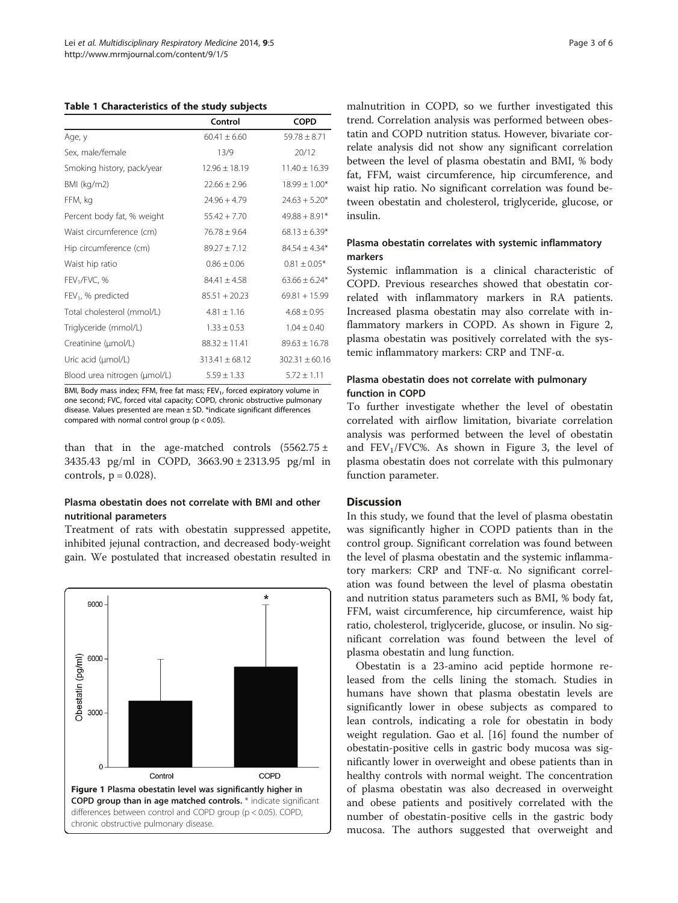<span id="page-2-0"></span>Table 1 Characteristics of the study subjects

|                                | Control            | <b>COPD</b>       |
|--------------------------------|--------------------|-------------------|
| Age, y                         | $60.41 + 6.60$     | $59.78 + 8.71$    |
| Sex, male/female               | 13/9               | 20/12             |
| Smoking history, pack/year     | $12.96 \pm 18.19$  | $11.40 \pm 16.39$ |
| BMI (kg/m2)                    | $22.66 + 2.96$     | $18.99 \pm 1.00*$ |
| FFM, kg                        | $74.96 + 4.79$     | $24.63 + 5.20*$   |
| Percent body fat, % weight     | $55.42 + 7.70$     | $49.88 + 8.91*$   |
| Waist circumference (cm)       | $76.78 \pm 9.64$   | $68.13 \pm 6.39*$ |
| Hip circumference (cm)         | $89.27 \pm 7.12$   | $84.54 \pm 4.34*$ |
| Waist hip ratio                | $0.86 + 0.06$      | $0.81 \pm 0.05*$  |
| FEV <sub>1</sub> /FVC, %       | $84.41 + 4.58$     | $63.66 \pm 6.24*$ |
| FEV <sub>1</sub> , % predicted | $85.51 + 20.23$    | $69.81 + 15.99$   |
| Total cholesterol (mmol/L)     | $4.81 \pm 1.16$    | $4.68 \pm 0.95$   |
| Triglyceride (mmol/L)          | $1.33 \pm 0.53$    | $1.04 + 0.40$     |
| Creatinine (µmol/L)            | $88.32 \pm 11.41$  | $89.63 + 16.78$   |
| Uric acid (µmol/L)             | $313.41 \pm 68.12$ | $302.31 + 60.16$  |
| Blood urea nitrogen (µmol/L)   | $5.59 \pm 1.33$    | $5.72 \pm 1.11$   |

BMI, Body mass index; FFM, free fat mass; FEV<sub>1</sub>, forced expiratory volume in one second; FVC, forced vital capacity; COPD, chronic obstructive pulmonary disease. Values presented are mean  $\pm$  SD. \*indicate significant differences compared with normal control group (p < 0.05).

than that in the age-matched controls  $(5562.75 \pm$ 3435.43 pg/ml in COPD, 3663.90 ± 2313.95 pg/ml in controls,  $p = 0.028$ ).

# Plasma obestatin does not correlate with BMI and other nutritional parameters

Treatment of rats with obestatin suppressed appetite, inhibited jejunal contraction, and decreased body-weight gain. We postulated that increased obestatin resulted in



malnutrition in COPD, so we further investigated this trend. Correlation analysis was performed between obestatin and COPD nutrition status. However, bivariate correlate analysis did not show any significant correlation between the level of plasma obestatin and BMI, % body fat, FFM, waist circumference, hip circumference, and waist hip ratio. No significant correlation was found between obestatin and cholesterol, triglyceride, glucose, or insulin.

## Plasma obestatin correlates with systemic inflammatory markers

Systemic inflammation is a clinical characteristic of COPD. Previous researches showed that obestatin correlated with inflammatory markers in RA patients. Increased plasma obestatin may also correlate with inflammatory markers in COPD. As shown in Figure [2](#page-3-0), plasma obestatin was positively correlated with the systemic inflammatory markers: CRP and TNF-α.

# Plasma obestatin does not correlate with pulmonary function in COPD

To further investigate whether the level of obestatin correlated with airflow limitation, bivariate correlation analysis was performed between the level of obestatin and  $FEV<sub>1</sub>/FVC%$ . As shown in Figure [3,](#page-3-0) the level of plasma obestatin does not correlate with this pulmonary function parameter.

# **Discussion**

In this study, we found that the level of plasma obestatin was significantly higher in COPD patients than in the control group. Significant correlation was found between the level of plasma obestatin and the systemic inflammatory markers: CRP and TNF-α. No significant correlation was found between the level of plasma obestatin and nutrition status parameters such as BMI, % body fat, FFM, waist circumference, hip circumference, waist hip ratio, cholesterol, triglyceride, glucose, or insulin. No significant correlation was found between the level of plasma obestatin and lung function.

Obestatin is a 23-amino acid peptide hormone released from the cells lining the stomach. Studies in humans have shown that plasma obestatin levels are significantly lower in obese subjects as compared to lean controls, indicating a role for obestatin in body weight regulation. Gao et al. [\[16](#page-5-0)] found the number of obestatin-positive cells in gastric body mucosa was significantly lower in overweight and obese patients than in healthy controls with normal weight. The concentration of plasma obestatin was also decreased in overweight and obese patients and positively correlated with the number of obestatin-positive cells in the gastric body mucosa. The authors suggested that overweight and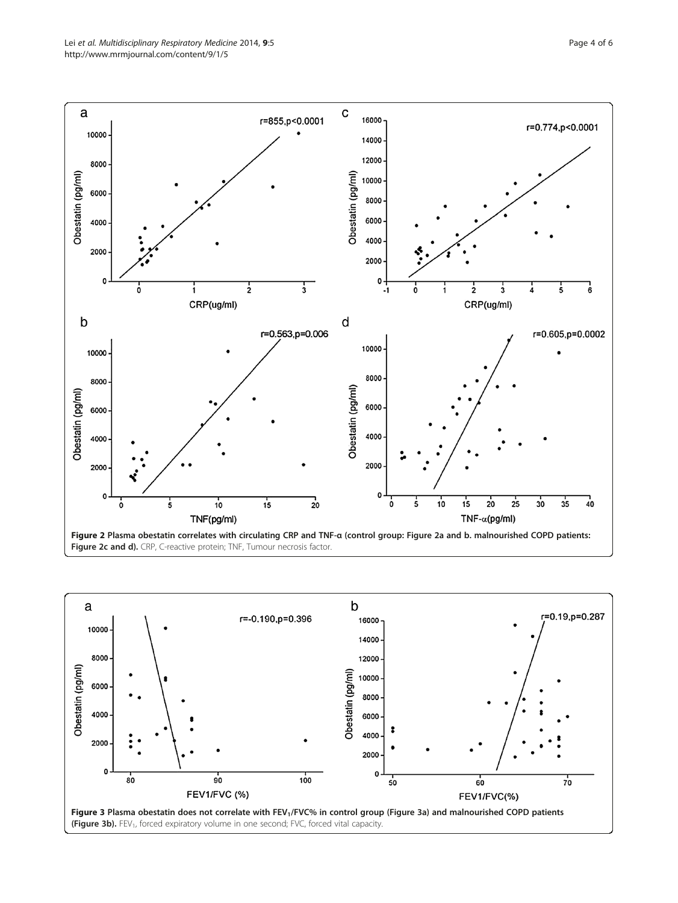

<span id="page-3-0"></span>

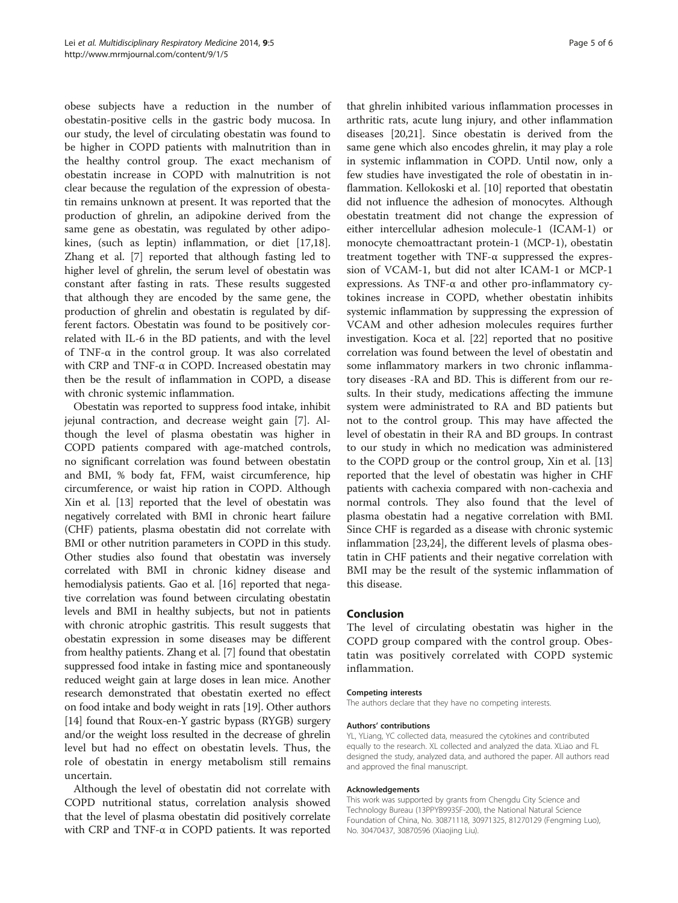obese subjects have a reduction in the number of obestatin-positive cells in the gastric body mucosa. In our study, the level of circulating obestatin was found to be higher in COPD patients with malnutrition than in the healthy control group. The exact mechanism of obestatin increase in COPD with malnutrition is not clear because the regulation of the expression of obestatin remains unknown at present. It was reported that the production of ghrelin, an adipokine derived from the same gene as obestatin, was regulated by other adipokines, (such as leptin) inflammation, or diet [\[17,18](#page-5-0)]. Zhang et al. [[7\]](#page-5-0) reported that although fasting led to higher level of ghrelin, the serum level of obestatin was constant after fasting in rats. These results suggested that although they are encoded by the same gene, the production of ghrelin and obestatin is regulated by different factors. Obestatin was found to be positively correlated with IL-6 in the BD patients, and with the level of TNF- $\alpha$  in the control group. It was also correlated with CRP and TNF-α in COPD. Increased obestatin may then be the result of inflammation in COPD, a disease with chronic systemic inflammation.

Obestatin was reported to suppress food intake, inhibit jejunal contraction, and decrease weight gain [[7\]](#page-5-0). Although the level of plasma obestatin was higher in COPD patients compared with age-matched controls, no significant correlation was found between obestatin and BMI, % body fat, FFM, waist circumference, hip circumference, or waist hip ration in COPD. Although Xin et al. [[13](#page-5-0)] reported that the level of obestatin was negatively correlated with BMI in chronic heart failure (CHF) patients, plasma obestatin did not correlate with BMI or other nutrition parameters in COPD in this study. Other studies also found that obestatin was inversely correlated with BMI in chronic kidney disease and hemodialysis patients. Gao et al. [\[16\]](#page-5-0) reported that negative correlation was found between circulating obestatin levels and BMI in healthy subjects, but not in patients with chronic atrophic gastritis. This result suggests that obestatin expression in some diseases may be different from healthy patients. Zhang et al. [\[7](#page-5-0)] found that obestatin suppressed food intake in fasting mice and spontaneously reduced weight gain at large doses in lean mice. Another research demonstrated that obestatin exerted no effect on food intake and body weight in rats [[19](#page-5-0)]. Other authors [[14](#page-5-0)] found that Roux-en-Y gastric bypass (RYGB) surgery and/or the weight loss resulted in the decrease of ghrelin level but had no effect on obestatin levels. Thus, the role of obestatin in energy metabolism still remains uncertain.

Although the level of obestatin did not correlate with COPD nutritional status, correlation analysis showed that the level of plasma obestatin did positively correlate with CRP and TNF-α in COPD patients. It was reported

that ghrelin inhibited various inflammation processes in arthritic rats, acute lung injury, and other inflammation diseases [[20,21](#page-5-0)]. Since obestatin is derived from the same gene which also encodes ghrelin, it may play a role in systemic inflammation in COPD. Until now, only a few studies have investigated the role of obestatin in inflammation. Kellokoski et al. [\[10](#page-5-0)] reported that obestatin did not influence the adhesion of monocytes. Although obestatin treatment did not change the expression of either intercellular adhesion molecule-1 (ICAM-1) or monocyte chemoattractant protein-1 (MCP-1), obestatin treatment together with TNF-α suppressed the expression of VCAM-1, but did not alter ICAM-1 or MCP-1 expressions. As TNF-α and other pro-inflammatory cytokines increase in COPD, whether obestatin inhibits systemic inflammation by suppressing the expression of VCAM and other adhesion molecules requires further investigation. Koca et al. [[22\]](#page-5-0) reported that no positive correlation was found between the level of obestatin and some inflammatory markers in two chronic inflammatory diseases -RA and BD. This is different from our results. In their study, medications affecting the immune system were administrated to RA and BD patients but not to the control group. This may have affected the level of obestatin in their RA and BD groups. In contrast to our study in which no medication was administered to the COPD group or the control group, Xin et al. [[13](#page-5-0)] reported that the level of obestatin was higher in CHF patients with cachexia compared with non-cachexia and normal controls. They also found that the level of plasma obestatin had a negative correlation with BMI. Since CHF is regarded as a disease with chronic systemic inflammation [[23](#page-5-0),[24](#page-5-0)], the different levels of plasma obestatin in CHF patients and their negative correlation with BMI may be the result of the systemic inflammation of this disease.

#### Conclusion

The level of circulating obestatin was higher in the COPD group compared with the control group. Obestatin was positively correlated with COPD systemic inflammation.

#### Competing interests

The authors declare that they have no competing interests.

#### Authors' contributions

YL, YLiang, YC collected data, measured the cytokines and contributed equally to the research. XL collected and analyzed the data. XLiao and FL designed the study, analyzed data, and authored the paper. All authors read and approved the final manuscript.

#### Acknowledgements

This work was supported by grants from Chengdu City Science and Technology Bureau (13PPYB993SF-200), the National Natural Science Foundation of China, No. 30871118, 30971325, 81270129 (Fengming Luo), No. 30470437, 30870596 (Xiaojing Liu).